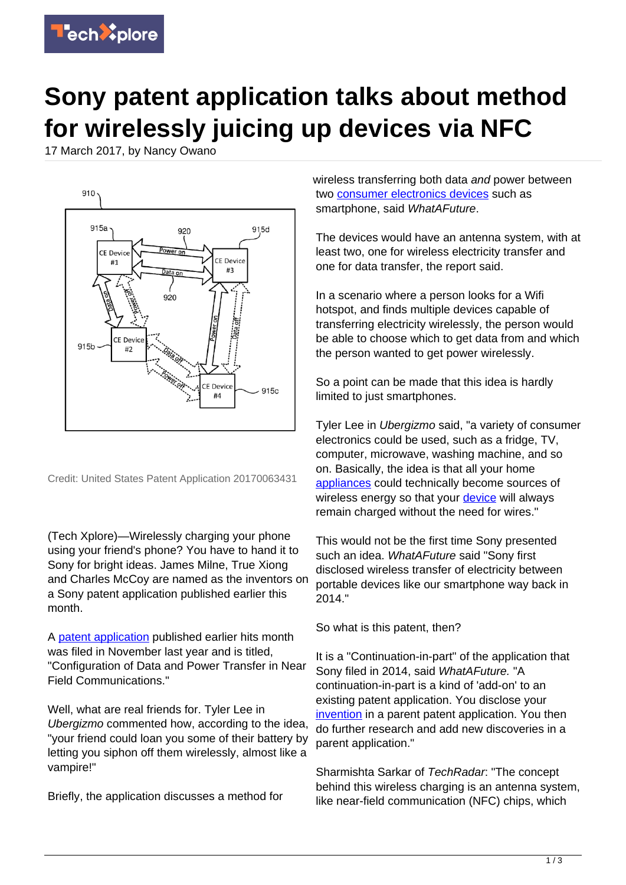

## **Sony patent application talks about method for wirelessly juicing up devices via NFC**

17 March 2017, by Nancy Owano



Credit: United States Patent Application 20170063431

(Tech Xplore)—Wirelessly charging your phone using your friend's phone? You have to hand it to Sony for bright ideas. James Milne, True Xiong and Charles McCoy are named as the inventors on a Sony patent application published earlier this month.

A [patent application](https://techxplore.com/tags/patent+application/) published earlier hits month was filed in November last year and is titled, "Configuration of Data and Power Transfer in Near Field Communications."

Well, what are real friends for. Tyler Lee in Ubergizmo commented how, according to the idea, "your friend could loan you some of their battery by letting you siphon off them wirelessly, almost like a vampire!"

Briefly, the application discusses a method for

wireless transferring both data and power between two [consumer electronics devices](https://techxplore.com/tags/consumer+electronics+devices/) such as smartphone, said WhatAFuture.

The devices would have an antenna system, with at least two, one for wireless electricity transfer and one for data transfer, the report said.

In a scenario where a person looks for a Wifi hotspot, and finds multiple devices capable of transferring electricity wirelessly, the person would be able to choose which to get data from and which the person wanted to get power wirelessly.

So a point can be made that this idea is hardly limited to just smartphones.

Tyler Lee in Ubergizmo said, "a variety of consumer electronics could be used, such as a fridge, TV, computer, microwave, washing machine, and so on. Basically, the idea is that all your home [appliances](http://www.ubergizmo.com/2017/03/sony-patent-wireless-charging/) could technically become sources of wireless energy so that your [device](https://techxplore.com/tags/device/) will always remain charged without the need for wires."

This would not be the first time Sony presented such an idea. WhatAFuture said "Sony first disclosed wireless transfer of electricity between portable devices like our smartphone way back in 2014."

So what is this patent, then?

It is a "Continuation-in-part" of the application that Sony filed in 2014, said WhatAFuture. "A continuation-in-part is a kind of 'add-on' to an existing patent application. You disclose your [invention](http://www.whatafuture.com/sony-true-wireless-charging/) in a parent patent application. You then do further research and add new discoveries in a parent application."

Sharmishta Sarkar of TechRadar: "The concept behind this wireless charging is an antenna system, like near-field communication (NFC) chips, which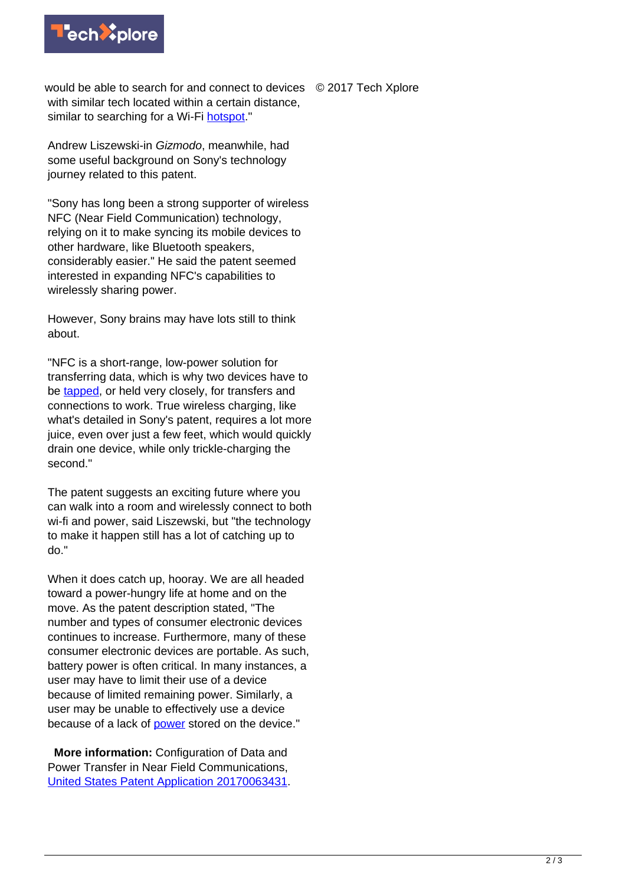

would be able to search for and connect to devices © 2017 Tech Xplore with similar tech located within a certain distance. similar to searching for a Wi-Fi [hotspot](http://www.techradar.com/news/sonys-latest-patent-could-let-you-wirelessly-share-phone-charge)."

Andrew Liszewski-in Gizmodo, meanwhile, had some useful background on Sony's technology journey related to this patent.

"Sony has long been a strong supporter of wireless NFC (Near Field Communication) technology, relying on it to make syncing its mobile devices to other hardware, like Bluetooth speakers, considerably easier." He said the patent seemed interested in expanding NFC's capabilities to wirelessly sharing power.

However, Sony brains may have lots still to think about.

"NFC is a short-range, low-power solution for transferring data, which is why two devices have to be [tapped](http://gizmodo.com/sony-patented-a-method-for-wirelessly-sucking-power-fro-1793331075), or held very closely, for transfers and connections to work. True wireless charging, like what's detailed in Sony's patent, requires a lot more juice, even over just a few feet, which would quickly drain one device, while only trickle-charging the second."

The patent suggests an exciting future where you can walk into a room and wirelessly connect to both wi-fi and power, said Liszewski, but "the technology to make it happen still has a lot of catching up to do."

When it does catch up, hooray. We are all headed toward a power-hungry life at home and on the move. As the patent description stated, "The number and types of consumer electronic devices continues to increase. Furthermore, many of these consumer electronic devices are portable. As such, battery power is often critical. In many instances, a user may have to limit their use of a device because of limited remaining power. Similarly, a user may be unable to effectively use a device because of a lack of [power](https://techxplore.com/tags/power/) stored on the device."

 **More information:** Configuration of Data and Power Transfer in Near Field Communications, [United States Patent Application 20170063431](http://appft.uspto.gov/netacgi/nph-Parser?Sect1=PTO2&Sect2=HITOFF&u=%2Fnetahtml%2FPTO%2Fsearch-adv.html&r=18&p=1&f=G&l=50&d=PG01&S1=%2820170302.PD.+AND+%28Sony.AS.+OR+Sony.AANM.%29%29&OS=PD/3/2/2017+and+%28AN/Sony+or+AANM/Sony%29&RS=%28PD/20170302+AND+%28AN/Sony+OR+AANM/Sony%29%29).